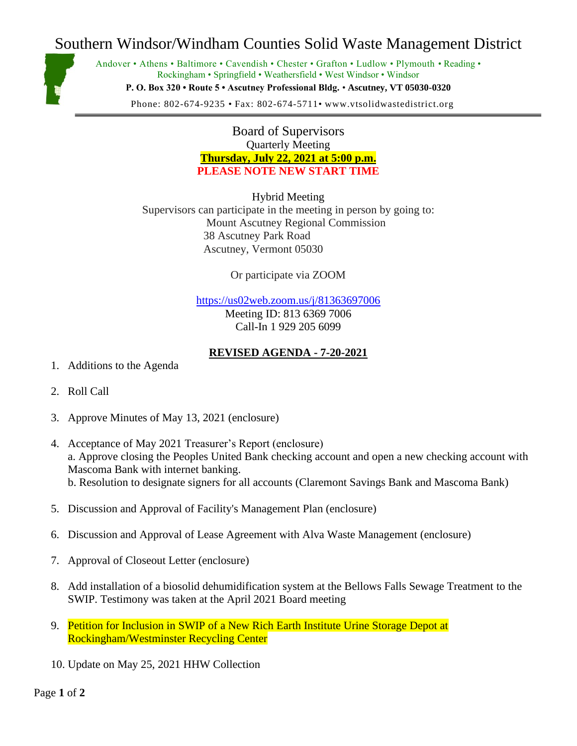# Southern Windsor/Windham Counties Solid Waste Management District



Andover • Athens • Baltimore • Cavendish • Chester • Grafton • Ludlow • Plymouth • Reading • Rockingham • Springfield • Weathersfield • West Windsor • Windsor **P. O. Box 320 • Route 5 • Ascutney Professional Bldg.** • **Ascutney, VT 05030-0320**

Phone: 802-674-9235 • Fax: 802-674-5711• www.vtsolidwastedistrict.org

Board of Supervisors Quarterly Meeting **Thursday, July 22, 2021 at 5:00 p.m. PLEASE NOTE NEW START TIME**

Hybrid Meeting Supervisors can participate in the meeting in person by going to: Mount Ascutney Regional Commission 38 Ascutney Park Road Ascutney, Vermont 05030

Or participate via ZOOM

<https://us02web.zoom.us/j/81363697006> Meeting ID: 813 6369 7006 Call-In 1 929 205 6099

#### **REVISED AGENDA - 7-20-2021**

- 1. Additions to the Agenda
- 2. Roll Call
- 3. Approve Minutes of May 13, 2021 (enclosure)
- 4. Acceptance of May 2021 Treasurer's Report (enclosure) a. Approve closing the Peoples United Bank checking account and open a new checking account with Mascoma Bank with internet banking. b. Resolution to designate signers for all accounts (Claremont Savings Bank and Mascoma Bank)
- 5. Discussion and Approval of Facility's Management Plan (enclosure)
- 6. Discussion and Approval of Lease Agreement with Alva Waste Management (enclosure)
- 7. Approval of Closeout Letter (enclosure)
- 8. Add installation of a biosolid dehumidification system at the Bellows Falls Sewage Treatment to the SWIP. Testimony was taken at the April 2021 Board meeting
- 9. Petition for Inclusion in SWIP of a New Rich Earth Institute Urine Storage Depot at Rockingham/Westminster Recycling Center
- 10. Update on May 25, 2021 HHW Collection